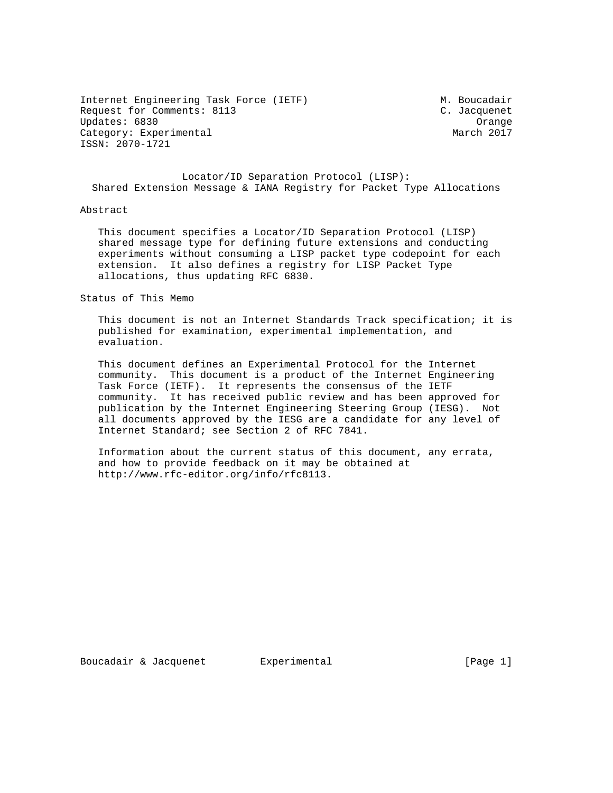Internet Engineering Task Force (IETF) M. Boucadair Request for Comments: 8113 C. Jacquenet Updates: 6830 Orange Category: Experimental ISSN: 2070-1721

# Locator/ID Separation Protocol (LISP): Shared Extension Message & IANA Registry for Packet Type Allocations

## Abstract

 This document specifies a Locator/ID Separation Protocol (LISP) shared message type for defining future extensions and conducting experiments without consuming a LISP packet type codepoint for each extension. It also defines a registry for LISP Packet Type allocations, thus updating RFC 6830.

Status of This Memo

 This document is not an Internet Standards Track specification; it is published for examination, experimental implementation, and evaluation.

 This document defines an Experimental Protocol for the Internet community. This document is a product of the Internet Engineering Task Force (IETF). It represents the consensus of the IETF community. It has received public review and has been approved for publication by the Internet Engineering Steering Group (IESG). Not all documents approved by the IESG are a candidate for any level of Internet Standard; see Section 2 of RFC 7841.

 Information about the current status of this document, any errata, and how to provide feedback on it may be obtained at http://www.rfc-editor.org/info/rfc8113.

Boucadair & Jacquenet Experimental Frage 1]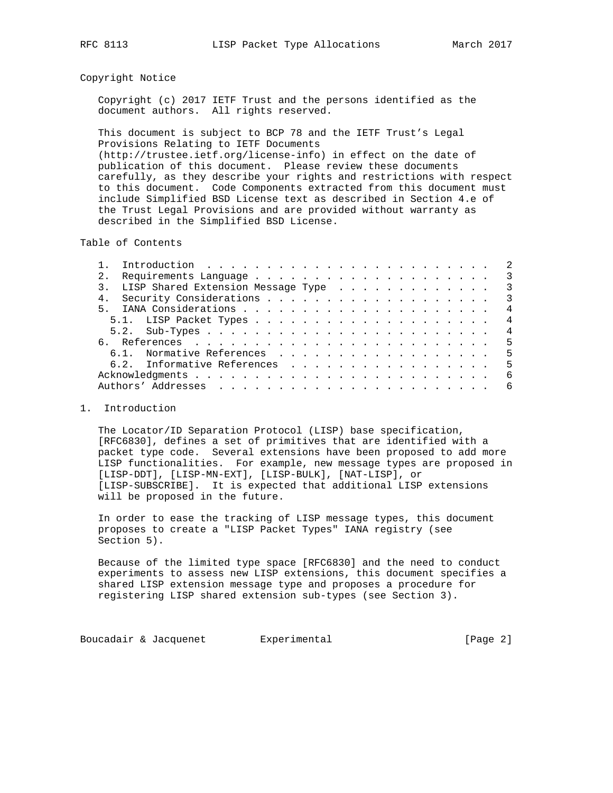#### Copyright Notice

 Copyright (c) 2017 IETF Trust and the persons identified as the document authors. All rights reserved.

 This document is subject to BCP 78 and the IETF Trust's Legal Provisions Relating to IETF Documents (http://trustee.ietf.org/license-info) in effect on the date of publication of this document. Please review these documents carefully, as they describe your rights and restrictions with respect to this document. Code Components extracted from this document must include Simplified BSD License text as described in Section 4.e of the Trust Legal Provisions and are provided without warranty as described in the Simplified BSD License.

Table of Contents

|                | Introduction $\ldots \ldots \ldots \ldots \ldots \ldots \ldots \ldots$ |  |  |  |  |  |  |  |  |  |  |  |  | $\overline{\phantom{0}}$ 2 |
|----------------|------------------------------------------------------------------------|--|--|--|--|--|--|--|--|--|--|--|--|----------------------------|
|                |                                                                        |  |  |  |  |  |  |  |  |  |  |  |  | $\overline{\phantom{a}}$ 3 |
|                | 3. LISP Shared Extension Message Type                                  |  |  |  |  |  |  |  |  |  |  |  |  | $\overline{\phantom{a}}$ 3 |
| 4 <sub>1</sub> |                                                                        |  |  |  |  |  |  |  |  |  |  |  |  | $\overline{\phantom{a}}$   |
|                |                                                                        |  |  |  |  |  |  |  |  |  |  |  |  | $\overline{4}$             |
|                |                                                                        |  |  |  |  |  |  |  |  |  |  |  |  | $\overline{4}$             |
|                |                                                                        |  |  |  |  |  |  |  |  |  |  |  |  | $\overline{4}$             |
|                |                                                                        |  |  |  |  |  |  |  |  |  |  |  |  |                            |
|                | 6.1. Normative References                                              |  |  |  |  |  |  |  |  |  |  |  |  | - 5                        |
|                |                                                                        |  |  |  |  |  |  |  |  |  |  |  |  | - 5                        |
|                |                                                                        |  |  |  |  |  |  |  |  |  |  |  |  | - 6                        |
|                |                                                                        |  |  |  |  |  |  |  |  |  |  |  |  | 6                          |
|                |                                                                        |  |  |  |  |  |  |  |  |  |  |  |  |                            |

### 1. Introduction

 The Locator/ID Separation Protocol (LISP) base specification, [RFC6830], defines a set of primitives that are identified with a packet type code. Several extensions have been proposed to add more LISP functionalities. For example, new message types are proposed in [LISP-DDT], [LISP-MN-EXT], [LISP-BULK], [NAT-LISP], or [LISP-SUBSCRIBE]. It is expected that additional LISP extensions will be proposed in the future.

 In order to ease the tracking of LISP message types, this document proposes to create a "LISP Packet Types" IANA registry (see Section 5).

 Because of the limited type space [RFC6830] and the need to conduct experiments to assess new LISP extensions, this document specifies a shared LISP extension message type and proposes a procedure for registering LISP shared extension sub-types (see Section 3).

Boucadair & Jacquenet Experimental Foucadair & Jacquenet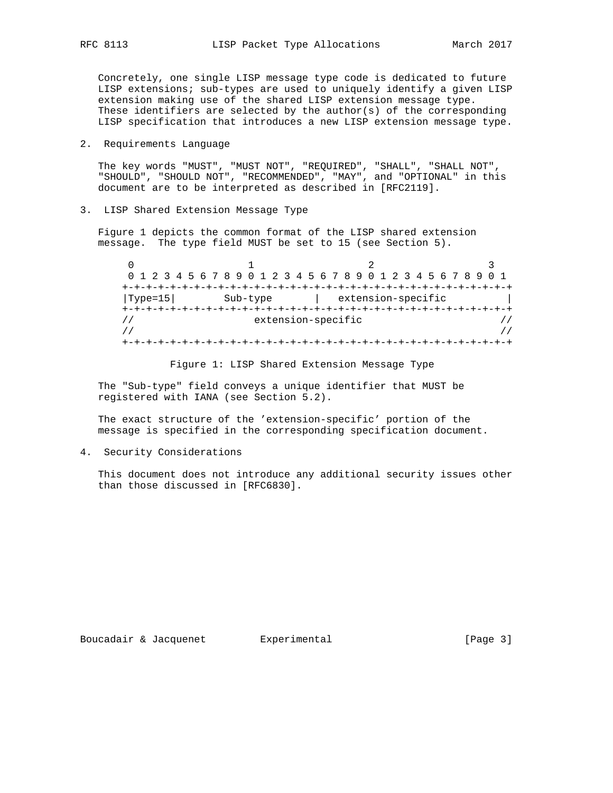Concretely, one single LISP message type code is dedicated to future LISP extensions; sub-types are used to uniquely identify a given LISP extension making use of the shared LISP extension message type. These identifiers are selected by the  $author(s)$  of the corresponding LISP specification that introduces a new LISP extension message type.

2. Requirements Language

 The key words "MUST", "MUST NOT", "REQUIRED", "SHALL", "SHALL NOT", "SHOULD", "SHOULD NOT", "RECOMMENDED", "MAY", and "OPTIONAL" in this document are to be interpreted as described in [RFC2119].

3. LISP Shared Extension Message Type

 Figure 1 depicts the common format of the LISP shared extension message. The type field MUST be set to 15 (see Section 5).

|                   |          | 0 1 2 3 4 5 6 7 8 9 0 1 2 3 4 5 6 7 8 9 0 1 2 3 4 5 6 7 8 9 0 1 |  |  |  |  |  |  |  |  |
|-------------------|----------|-----------------------------------------------------------------|--|--|--|--|--|--|--|--|
|                   |          |                                                                 |  |  |  |  |  |  |  |  |
| $ {\rm Type=15} $ | Sub-type | extension-specific                                              |  |  |  |  |  |  |  |  |
|                   |          |                                                                 |  |  |  |  |  |  |  |  |
|                   |          | extension-specific                                              |  |  |  |  |  |  |  |  |
|                   |          |                                                                 |  |  |  |  |  |  |  |  |
|                   |          |                                                                 |  |  |  |  |  |  |  |  |

Figure 1: LISP Shared Extension Message Type

 The "Sub-type" field conveys a unique identifier that MUST be registered with IANA (see Section 5.2).

 The exact structure of the 'extension-specific' portion of the message is specified in the corresponding specification document.

4. Security Considerations

 This document does not introduce any additional security issues other than those discussed in [RFC6830].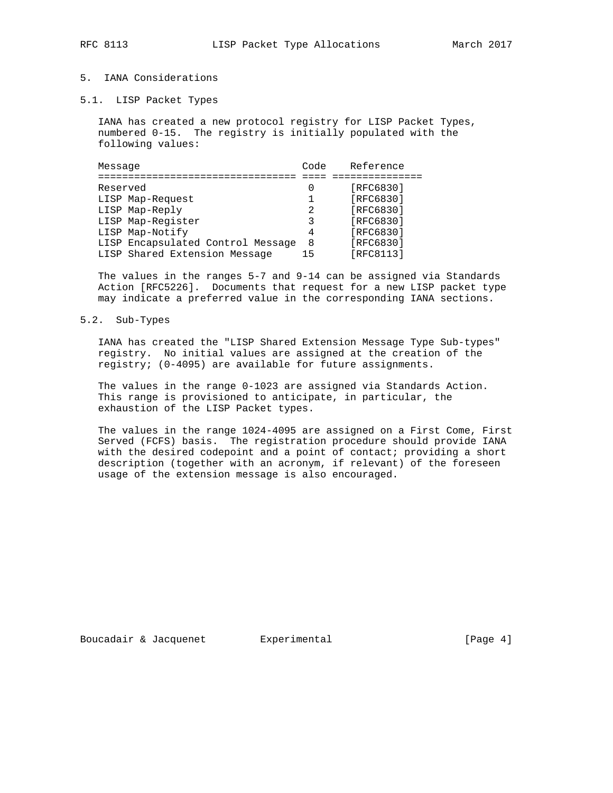# 5. IANA Considerations

5.1. LISP Packet Types

 IANA has created a new protocol registry for LISP Packet Types, numbered 0-15. The registry is initially populated with the following values:

| Message                           | Code | Reference |
|-----------------------------------|------|-----------|
| Reserved                          |      | [RFC6830] |
| LISP Map-Request                  |      | [RFC6830] |
| LISP Map-Reply                    | 2    | [RFC6830] |
| LISP Map-Register                 | 3    | [RFC6830] |
| LISP Map-Notify                   | 4    | [RFC6830] |
| LISP Encapsulated Control Message | 8    | [RFC6830] |
| LISP Shared Extension Message     | 15   | [RFC8113] |

 The values in the ranges 5-7 and 9-14 can be assigned via Standards Action [RFC5226]. Documents that request for a new LISP packet type may indicate a preferred value in the corresponding IANA sections.

#### 5.2. Sub-Types

 IANA has created the "LISP Shared Extension Message Type Sub-types" registry. No initial values are assigned at the creation of the registry; (0-4095) are available for future assignments.

 The values in the range 0-1023 are assigned via Standards Action. This range is provisioned to anticipate, in particular, the exhaustion of the LISP Packet types.

 The values in the range 1024-4095 are assigned on a First Come, First Served (FCFS) basis. The registration procedure should provide IANA with the desired codepoint and a point of contact; providing a short description (together with an acronym, if relevant) of the foreseen usage of the extension message is also encouraged.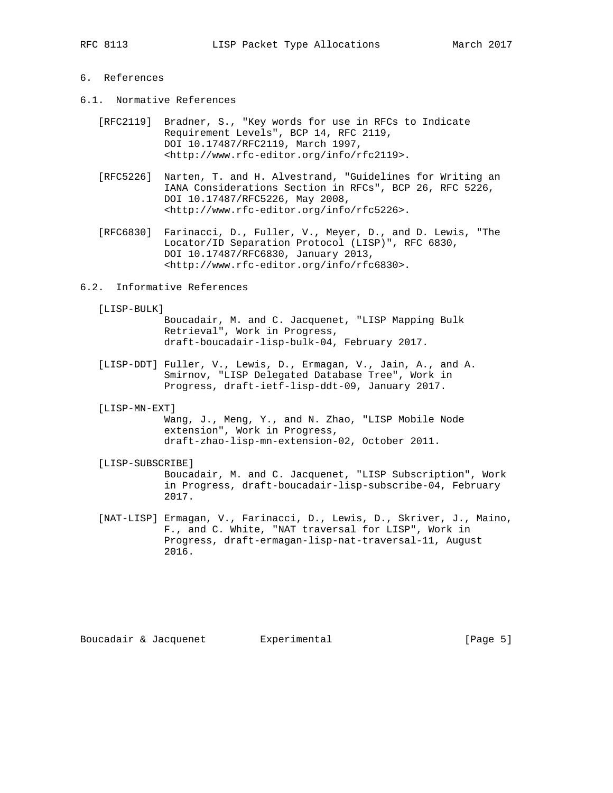# 6. References

- 6.1. Normative References
	- [RFC2119] Bradner, S., "Key words for use in RFCs to Indicate Requirement Levels", BCP 14, RFC 2119, DOI 10.17487/RFC2119, March 1997, <http://www.rfc-editor.org/info/rfc2119>.
	- [RFC5226] Narten, T. and H. Alvestrand, "Guidelines for Writing an IANA Considerations Section in RFCs", BCP 26, RFC 5226, DOI 10.17487/RFC5226, May 2008, <http://www.rfc-editor.org/info/rfc5226>.
	- [RFC6830] Farinacci, D., Fuller, V., Meyer, D., and D. Lewis, "The Locator/ID Separation Protocol (LISP)", RFC 6830, DOI 10.17487/RFC6830, January 2013, <http://www.rfc-editor.org/info/rfc6830>.
- 6.2. Informative References
	- [LISP-BULK]

 Boucadair, M. and C. Jacquenet, "LISP Mapping Bulk Retrieval", Work in Progress, draft-boucadair-lisp-bulk-04, February 2017.

- [LISP-DDT] Fuller, V., Lewis, D., Ermagan, V., Jain, A., and A. Smirnov, "LISP Delegated Database Tree", Work in Progress, draft-ietf-lisp-ddt-09, January 2017.
- [LISP-MN-EXT]

 Wang, J., Meng, Y., and N. Zhao, "LISP Mobile Node extension", Work in Progress, draft-zhao-lisp-mn-extension-02, October 2011.

[LISP-SUBSCRIBE]

 Boucadair, M. and C. Jacquenet, "LISP Subscription", Work in Progress, draft-boucadair-lisp-subscribe-04, February 2017.

 [NAT-LISP] Ermagan, V., Farinacci, D., Lewis, D., Skriver, J., Maino, F., and C. White, "NAT traversal for LISP", Work in Progress, draft-ermagan-lisp-nat-traversal-11, August 2016.